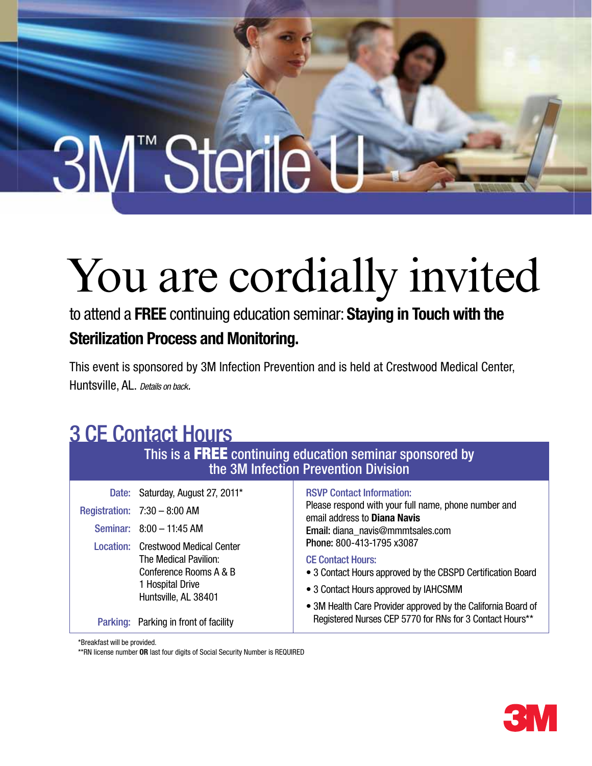# 3M™Sterile L

## You are cordially invited

to attend a FREE continuing education seminar: Staying in Touch with the Sterilization Process and Monitoring.

This event is sponsored by 3M Infection Prevention and is held at Crestwood Medical Center, Huntsville, AL. *Details on back.*

### 3 CE Contact Hours

This is a FREE continuing education seminar sponsored by the 3M Infection Prevention Division

|                                           | Date: Saturday, August 27, 2011*                                   | <b>RSVP Contact Information:</b><br>Please respond with your full name, phone number and<br>email address to Diana Navis<br>Email: diana_navis@mmmtsales.com |
|-------------------------------------------|--------------------------------------------------------------------|--------------------------------------------------------------------------------------------------------------------------------------------------------------|
|                                           | Registration: $7:30 - 8:00$ AM                                     |                                                                                                                                                              |
|                                           | Seminar: 8:00 - 11:45 AM                                           |                                                                                                                                                              |
| <b>Location: Crestwood Medical Center</b> | Phone: 800-413-1795 x3087                                          |                                                                                                                                                              |
|                                           | The Medical Pavilion:                                              | <b>CE Contact Hours:</b>                                                                                                                                     |
|                                           | Conference Rooms A & B<br>1 Hospital Drive<br>Huntsville, AL 38401 | • 3 Contact Hours approved by the CBSPD Certification Board                                                                                                  |
|                                           |                                                                    | • 3 Contact Hours approved by IAHCSMM                                                                                                                        |
|                                           |                                                                    | • 3M Health Care Provider approved by the California Board of                                                                                                |
|                                           | Parking: Parking in front of facility                              | Registered Nurses CEP 5770 for RNs for 3 Contact Hours**                                                                                                     |

\*Breakfast will be provided.

\*\*RN license number OR last four digits of Social Security Number is REQUIRED